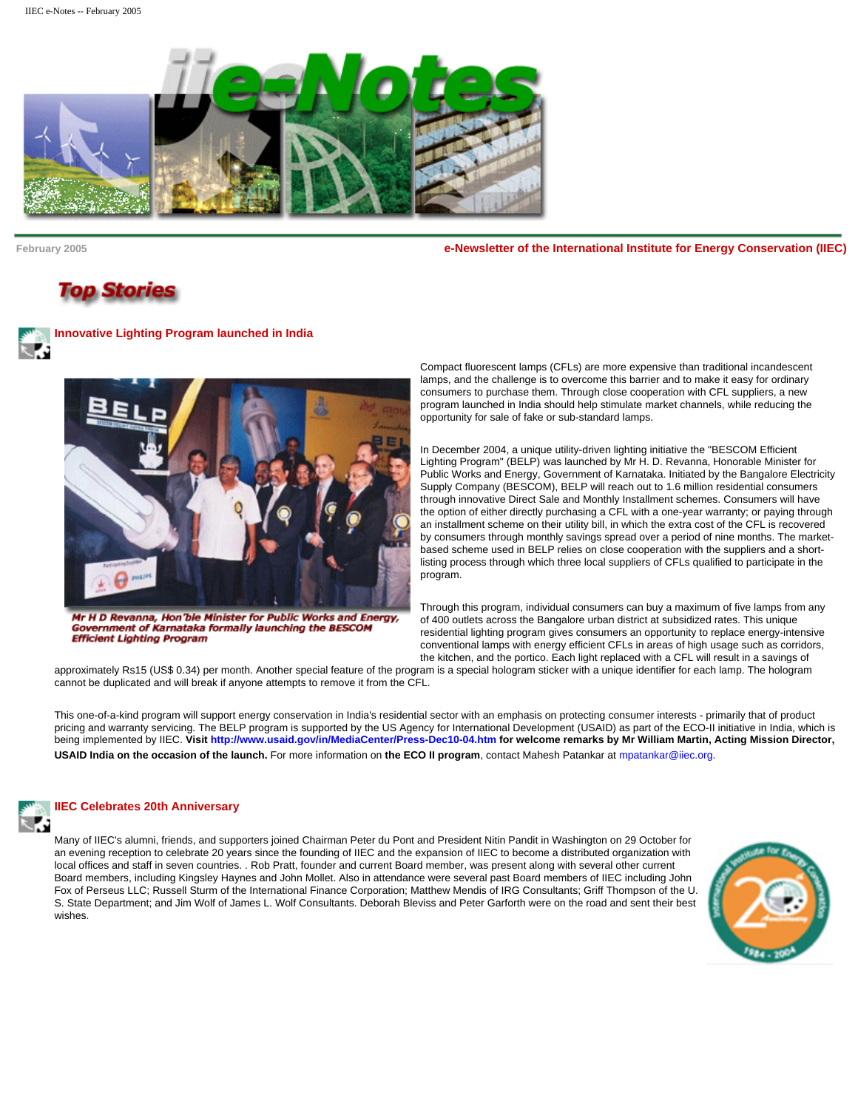

**February 2005 e-Newsletter of the International Institute for Energy Conservation (IIEC)**

# **Top Stories**

**Innovative Lighting Program launched in India** 



Mr H D Revanna, Hon'ble Minister for Public Works and Energy, Government of Karnataka formally launching the BESCOM **Efficient Lighting Program** 

Compact fluorescent lamps (CFLs) are more expensive than traditional incandescent lamps, and the challenge is to overcome this barrier and to make it easy for ordinary consumers to purchase them. Through close cooperation with CFL suppliers, a new program launched in India should help stimulate market channels, while reducing the opportunity for sale of fake or sub-standard lamps.

In December 2004, a unique utility-driven lighting initiative the "BESCOM Efficient Lighting Program" (BELP) was launched by Mr H. D. Revanna, Honorable Minister for Public Works and Energy, Government of Karnataka. Initiated by the Bangalore Electricity Supply Company (BESCOM), BELP will reach out to 1.6 million residential consumers through innovative Direct Sale and Monthly Installment schemes. Consumers will have the option of either directly purchasing a CFL with a one-year warranty; or paying through an installment scheme on their utility bill, in which the extra cost of the CFL is recovered by consumers through monthly savings spread over a period of nine months. The marketbased scheme used in BELP relies on close cooperation with the suppliers and a shortlisting process through which three local suppliers of CFLs qualified to participate in the program.

Through this program, individual consumers can buy a maximum of five lamps from any of 400 outlets across the Bangalore urban district at subsidized rates. This unique residential lighting program gives consumers an opportunity to replace energy-intensive conventional lamps with energy efficient CFLs in areas of high usage such as corridors, the kitchen, and the portico. Each light replaced with a CFL will result in a savings of

approximately Rs15 (US\$ 0.34) per month. Another special feature of the program is a special hologram sticker with a unique identifier for each lamp. The hologram cannot be duplicated and will break if anyone attempts to remove it from the CFL.

This one-of-a-kind program will support energy conservation in India's residential sector with an emphasis on protecting consumer interests - primarily that of product pricing and warranty servicing. The BELP program is supported by the US Agency for International Development (USAID) as part of the ECO-II initiative in India, which is being implemented by IIEC. **Visit<http://www.usaid.gov/in/MediaCenter/Press-Dec10-04.htm> for welcome remarks by Mr William Martin, Acting Mission Director, USAID India on the occasion of the launch.** For more information on **the ECO II program**, contact Mahesh Patankar at [mpatankar@iiec.org.](mailto:mpatankar@iiec.org)



# **IIEC Celebrates 20th Anniversary**

Many of IIEC's alumni, friends, and supporters joined Chairman Peter du Pont and President Nitin Pandit in Washington on 29 October for an evening reception to celebrate 20 years since the founding of IIEC and the expansion of IIEC to become a distributed organization with local offices and staff in seven countries. . Rob Pratt, founder and current Board member, was present along with several other current Board members, including Kingsley Haynes and John Mollet. Also in attendance were several past Board members of IIEC including John Fox of Perseus LLC; Russell Sturm of the International Finance Corporation; Matthew Mendis of IRG Consultants; Griff Thompson of the U. S. State Department; and Jim Wolf of James L. Wolf Consultants. Deborah Bleviss and Peter Garforth were on the road and sent their best wishes.

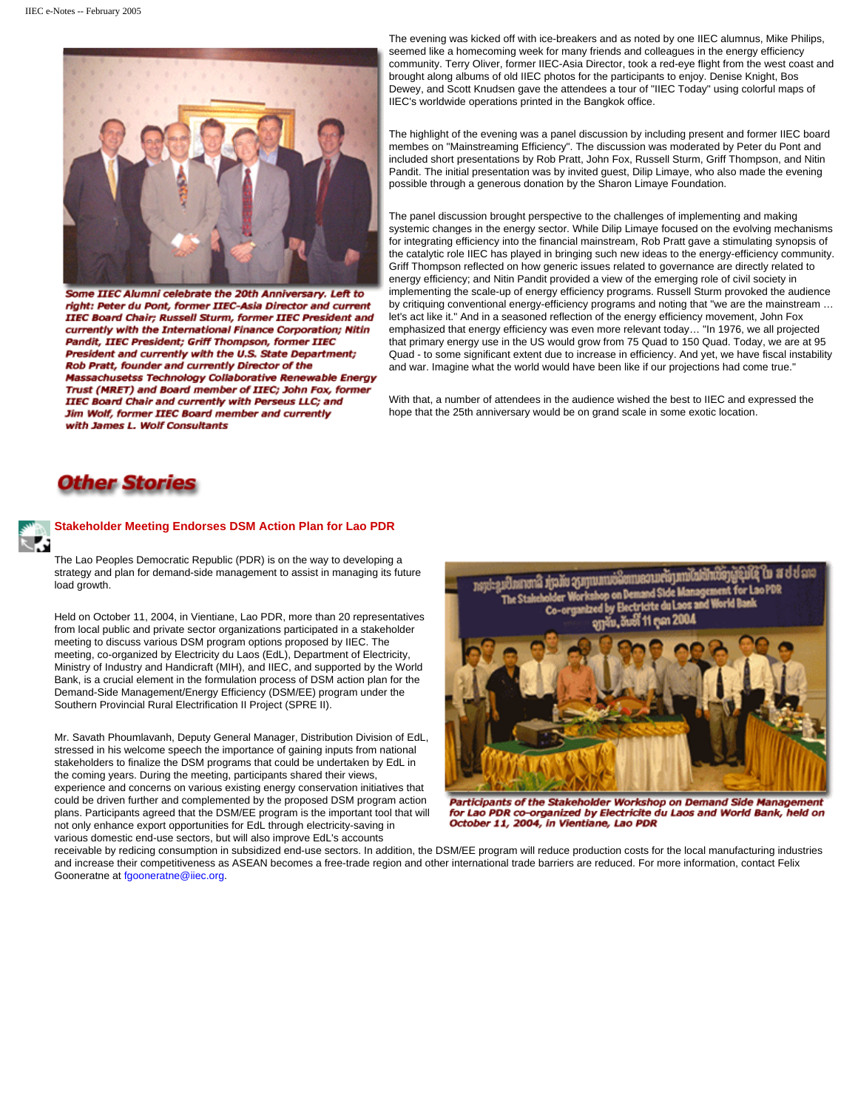

Some IIEC Alumni celebrate the 20th Anniversary. Left to right: Peter du Pont, former IIEC-Asia Director and current IIEC Board Chair; Russell Sturm, former IIEC President and currently with the International Finance Corporation; Nitin Pandit, IIEC President; Griff Thompson, former IIEC President and currently with the U.S. State Department; Rob Pratt, founder and currently Director of the Massachusetss Technology Collaborative Renewable Energy Trust (MRET) and Board member of IIEC; John Fox, former IIEC Board Chair and currently with Perseus LLC; and Jim Wolf, former IIEC Board member and currently with James L. Wolf Consultants

The evening was kicked off with ice-breakers and as noted by one IIEC alumnus, Mike Philips, seemed like a homecoming week for many friends and colleagues in the energy efficiency community. Terry Oliver, former IIEC-Asia Director, took a red-eye flight from the west coast and brought along albums of old IIEC photos for the participants to enjoy. Denise Knight, Bos Dewey, and Scott Knudsen gave the attendees a tour of "IIEC Today" using colorful maps of IIEC's worldwide operations printed in the Bangkok office.

The highlight of the evening was a panel discussion by including present and former IIEC board membes on "Mainstreaming Efficiency". The discussion was moderated by Peter du Pont and included short presentations by Rob Pratt, John Fox, Russell Sturm, Griff Thompson, and Nitin Pandit. The initial presentation was by invited guest, Dilip Limaye, who also made the evening possible through a generous donation by the Sharon Limaye Foundation.

The panel discussion brought perspective to the challenges of implementing and making systemic changes in the energy sector. While Dilip Limaye focused on the evolving mechanisms for integrating efficiency into the financial mainstream, Rob Pratt gave a stimulating synopsis of the catalytic role IIEC has played in bringing such new ideas to the energy-efficiency community. Griff Thompson reflected on how generic issues related to governance are directly related to energy efficiency; and Nitin Pandit provided a view of the emerging role of civil society in implementing the scale-up of energy efficiency programs. Russell Sturm provoked the audience by critiquing conventional energy-efficiency programs and noting that "we are the mainstream … let's act like it." And in a seasoned reflection of the energy efficiency movement, John Fox emphasized that energy efficiency was even more relevant today… "In 1976, we all projected that primary energy use in the US would grow from 75 Quad to 150 Quad. Today, we are at 95 Quad - to some significant extent due to increase in efficiency. And yet, we have fiscal instability and war. Imagine what the world would have been like if our projections had come true."

With that, a number of attendees in the audience wished the best to IIEC and expressed the hope that the 25th anniversary would be on grand scale in some exotic location.

# **Other Stories**

#### **Stakeholder Meeting Endorses DSM Action Plan for Lao PDR**

The Lao Peoples Democratic Republic (PDR) is on the way to developing a strategy and plan for demand-side management to assist in managing its future load growth.

Held on October 11, 2004, in Vientiane, Lao PDR, more than 20 representatives from local public and private sector organizations participated in a stakeholder meeting to discuss various DSM program options proposed by IIEC. The meeting, co-organized by Electricity du Laos (EdL), Department of Electricity, Ministry of Industry and Handicraft (MIH), and IIEC, and supported by the World Bank, is a crucial element in the formulation process of DSM action plan for the Demand-Side Management/Energy Efficiency (DSM/EE) program under the Southern Provincial Rural Electrification II Project (SPRE II).

Mr. Savath Phoumlavanh, Deputy General Manager, Distribution Division of EdL, stressed in his welcome speech the importance of gaining inputs from national stakeholders to finalize the DSM programs that could be undertaken by EdL in the coming years. During the meeting, participants shared their views, experience and concerns on various existing energy conservation initiatives that could be driven further and complemented by the proposed DSM program action plans. Participants agreed that the DSM/EE program is the important tool that will not only enhance export opportunities for EdL through electricity-saving in various domestic end-use sectors, but will also improve EdL's accounts



Participants of the Stakeholder Workshop on Demand Side Management for Lao PDR co-organized by Electricite du Laos and World Bank, held on October 11, 2004, in Vientiane, Lao PDR

receivable by redicing consumption in subsidized end-use sectors. In addition, the DSM/EE program will reduce production costs for the local manufacturing industries and increase their competitiveness as ASEAN becomes a free-trade region and other international trade barriers are reduced. For more information, contact Felix Gooneratne at [fgooneratne@iiec.org](mailto:fgooneratne@iiec.org).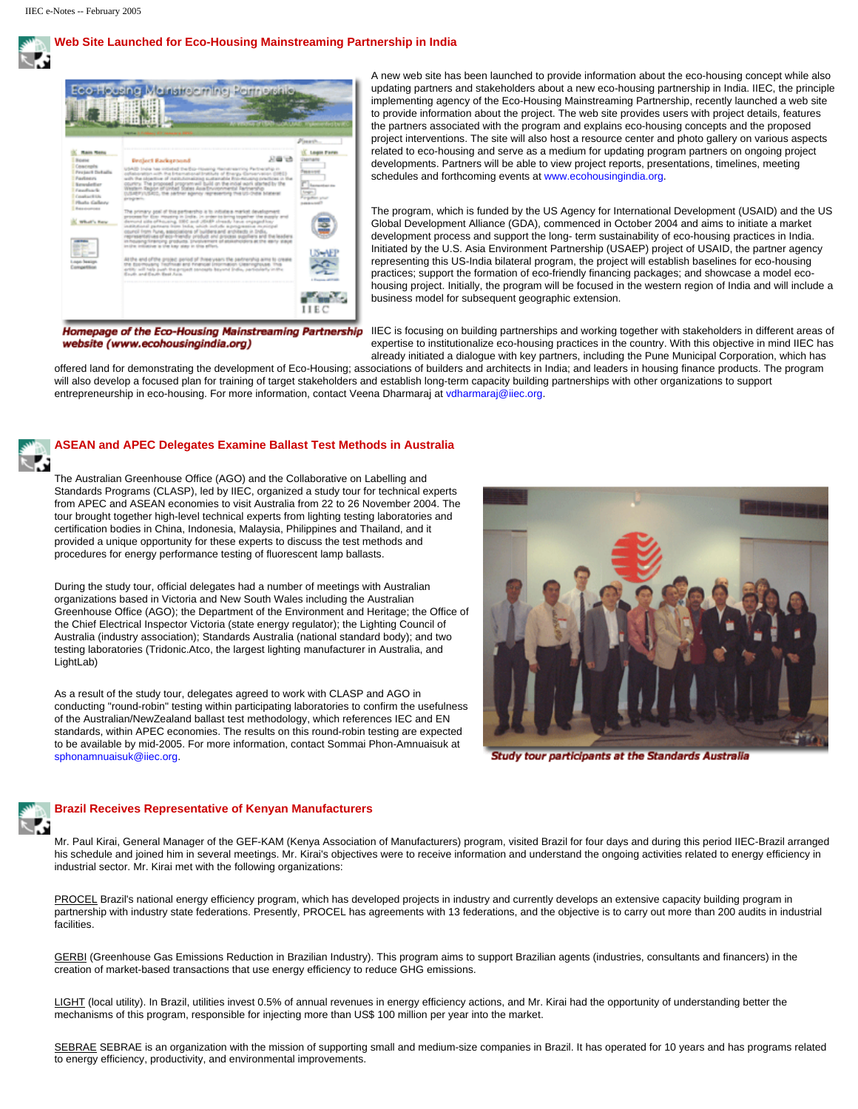# **Web Site Launched for Eco-Housing Mainstreaming Partnership in India**



A new web site has been launched to provide information about the eco-housing concept while also updating partners and stakeholders about a new eco-housing partnership in India. IIEC, the principle implementing agency of the Eco-Housing Mainstreaming Partnership, recently launched a web site to provide information about the project. The web site provides users with project details, features the partners associated with the program and explains eco-housing concepts and the proposed project interventions. The site will also host a resource center and photo gallery on various aspects related to eco-housing and serve as a medium for updating program partners on ongoing project developments. Partners will be able to view project reports, presentations, timelines, meeting schedules and forthcoming events at [www.ecohousingindia.org.](http://www.ecohousingindia.org/)

The program, which is funded by the US Agency for International Development (USAID) and the US Global Development Alliance (GDA), commenced in October 2004 and aims to initiate a market development process and support the long- term sustainability of eco-housing practices in India. Initiated by the U.S. Asia Environment Partnership (USAEP) project of USAID, the partner agency representing this US-India bilateral program, the project will establish baselines for eco-housing practices; support the formation of eco-friendly financing packages; and showcase a model ecohousing project. Initially, the program will be focused in the western region of India and will include a business model for subsequent geographic extension.

website (www.ecohousingindia.org)

Homepage of the Eco-Housing Mainstreaming Partnership IIEC is focusing on building partnerships and working together with stakeholders in different areas of expertise to institutionalize eco-housing practices in the country. With this objective in mind IIEC has already initiated a dialogue with key partners, including the Pune Municipal Corporation, which has

offered land for demonstrating the development of Eco-Housing; associations of builders and architects in India; and leaders in housing finance products. The program will also develop a focused plan for training of target stakeholders and establish long-term capacity building partnerships with other organizations to support entrepreneurship in eco-housing. For more information, contact Veena Dharmaraj at [vdharmaraj@iiec.org](mailto:vdharmaraj@iiec.org).

#### **ASEAN and APEC Delegates Examine Ballast Test Methods in Australia**

The Australian Greenhouse Office (AGO) and the Collaborative on Labelling and Standards Programs (CLASP), led by IIEC, organized a study tour for technical experts from APEC and ASEAN economies to visit Australia from 22 to 26 November 2004. The tour brought together high-level technical experts from lighting testing laboratories and certification bodies in China, Indonesia, Malaysia, Philippines and Thailand, and it provided a unique opportunity for these experts to discuss the test methods and procedures for energy performance testing of fluorescent lamp ballasts.

During the study tour, official delegates had a number of meetings with Australian organizations based in Victoria and New South Wales including the Australian Greenhouse Office (AGO); the Department of the Environment and Heritage; the Office of the Chief Electrical Inspector Victoria (state energy regulator); the Lighting Council of Australia (industry association); Standards Australia (national standard body); and two testing laboratories (Tridonic.Atco, the largest lighting manufacturer in Australia, and LightLab)

As a result of the study tour, delegates agreed to work with CLASP and AGO in conducting "round-robin" testing within participating laboratories to confirm the usefulness of the Australian/NewZealand ballast test methodology, which references IEC and EN standards, within APEC economies. The results on this round-robin testing are expected to be available by mid-2005. For more information, contact Sommai Phon-Amnuaisuk at [sphonamnuaisuk@iiec.org.](mailto:sphonamnuaisuk@iiec.org)



Study tour participants at the Standards Australia



### **Brazil Receives Representative of Kenyan Manufacturers**

Mr. Paul Kirai, General Manager of the GEF-KAM (Kenya Association of Manufacturers) program, visited Brazil for four days and during this period IIEC-Brazil arranged his schedule and joined him in several meetings. Mr. Kirai's objectives were to receive information and understand the ongoing activities related to energy efficiency in industrial sector. Mr. Kirai met with the following organizations:

PROCEL Brazil's national energy efficiency program, which has developed projects in industry and currently develops an extensive capacity building program in partnership with industry state federations. Presently, PROCEL has agreements with 13 federations, and the objective is to carry out more than 200 audits in industrial facilities.

GERBI (Greenhouse Gas Emissions Reduction in Brazilian Industry). This program aims to support Brazilian agents (industries, consultants and financers) in the creation of market-based transactions that use energy efficiency to reduce GHG emissions.

LIGHT (local utility). In Brazil, utilities invest 0.5% of annual revenues in energy efficiency actions, and Mr. Kirai had the opportunity of understanding better the mechanisms of this program, responsible for injecting more than US\$ 100 million per year into the market.

SEBRAE SEBRAE is an organization with the mission of supporting small and medium-size companies in Brazil. It has operated for 10 years and has programs related to energy efficiency, productivity, and environmental improvements.